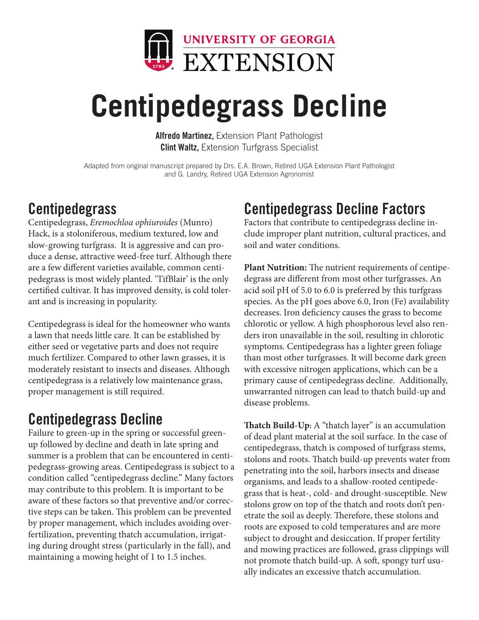

# **Centipedegrass Decline**

Alfredo Martinez, Extension Plant Pathologist **Clint Waltz, Extension Turfgrass Specialist** 

Adapted from original manuscript prepared by Drs. E.A. Brown, Retired UGA Extension Plant Pathologist and G. Landry, Retired UGA Extension Agronomist

### **Centipedegrass**

Centipedegrass, *Eremochloa ophiuroides* (Munro) Hack, is a stoloniferous, medium textured, low and slow-growing turfgrass. It is aggressive and can produce a dense, attractive weed-free turf. Although there are a few different varieties available, common centipedegrass is most widely planted. 'TifBlair' is the only certified cultivar. It has improved density, is cold tolerant and is increasing in popularity.

Centipedegrass is ideal for the homeowner who wants a lawn that needs little care. It can be established by either seed or vegetative parts and does not require much fertilizer. Compared to other lawn grasses, it is moderately resistant to insects and diseases. Although centipedegrass is a relatively low maintenance grass, proper management is still required.

## Centipedegrass Decline

Failure to green-up in the spring or successful greenup followed by decline and death in late spring and summer is a problem that can be encountered in centipedegrass-growing areas. Centipedegrass is subject to a condition called "centipedegrass decline." Many factors may contribute to this problem. It is important to be aware of these factors so that preventive and/or corrective steps can be taken. This problem can be prevented by proper management, which includes avoiding overfertilization, preventing thatch accumulation, irrigating during drought stress (particularly in the fall), and maintaining a mowing height of 1 to 1.5 inches.

## Centipedegrass Decline Factors

Factors that contribute to centipedegrass decline include improper plant nutrition, cultural practices, and soil and water conditions.

**Plant Nutrition:** The nutrient requirements of centipedegrass are different from most other turfgrasses. An acid soil pH of 5.0 to 6.0 is preferred by this turfgrass species. As the pH goes above 6.0, Iron (Fe) availability decreases. Iron deficiency causes the grass to become chlorotic or yellow. A high phosphorous level also renders iron unavailable in the soil, resulting in chlorotic symptoms. Centipedegrass has a lighter green foliage than most other turfgrasses. It will become dark green with excessive nitrogen applications, which can be a primary cause of centipedegrass decline. Additionally, unwarranted nitrogen can lead to thatch build-up and disease problems.

**Thatch Build-Up:** A "thatch layer" is an accumulation of dead plant material at the soil surface. In the case of centipedegrass, thatch is composed of turfgrass stems, stolons and roots. Thatch build-up prevents water from penetrating into the soil, harbors insects and disease organisms, and leads to a shallow-rooted centipedegrass that is heat-, cold- and drought-susceptible. New stolons grow on top of the thatch and roots don't penetrate the soil as deeply. Therefore, these stolons and roots are exposed to cold temperatures and are more subject to drought and desiccation. If proper fertility and mowing practices are followed, grass clippings will not promote thatch build-up. A soft, spongy turf usually indicates an excessive thatch accumulation.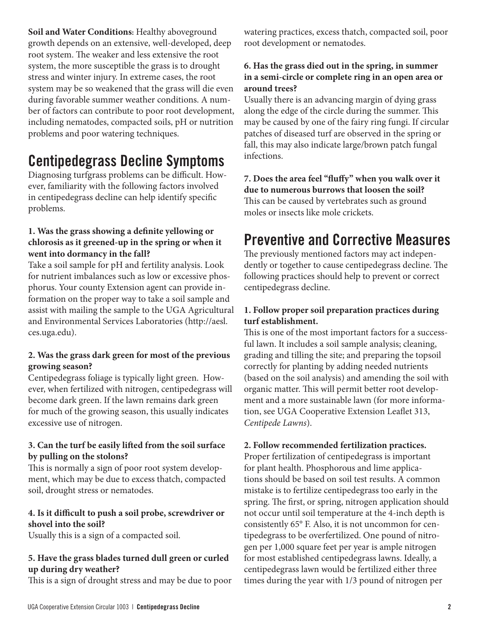**Soil and Water Conditions:** Healthy aboveground growth depends on an extensive, well-developed, deep root system. The weaker and less extensive the root system, the more susceptible the grass is to drought stress and winter injury. In extreme cases, the root system may be so weakened that the grass will die even during favorable summer weather conditions. A number of factors can contribute to poor root development, including nematodes, compacted soils, pH or nutrition problems and poor watering techniques.

### Centipedegrass Decline Symptoms

Diagnosing turfgrass problems can be difficult. However, familiarity with the following factors involved in centipedegrass decline can help identify specific problems.

#### **1. Was the grass showing a definite yellowing or chlorosis as it greened-up in the spring or when it went into dormancy in the fall?**

Take a soil sample for pH and fertility analysis. Look for nutrient imbalances such as low or excessive phosphorus. Your county Extension agent can provide information on the proper way to take a soil sample and assist with mailing the sample to the UGA Agricultural and Environmental Services Laboratories (http://aesl. ces.uga.edu).

#### **2. Was the grass dark green for most of the previous growing season?**

Centipedegrass foliage is typically light green. However, when fertilized with nitrogen, centipedegrass will become dark green. If the lawn remains dark green for much of the growing season, this usually indicates excessive use of nitrogen.

#### **3. Can the turf be easily lifted from the soil surface by pulling on the stolons?**

This is normally a sign of poor root system development, which may be due to excess thatch, compacted soil, drought stress or nematodes.

#### **4. Is it difficult to push a soil probe, screwdriver or shovel into the soil?**

Usually this is a sign of a compacted soil.

### **5. Have the grass blades turned dull green or curled up during dry weather?**

This is a sign of drought stress and may be due to poor

watering practices, excess thatch, compacted soil, poor root development or nematodes.

#### **6. Has the grass died out in the spring, in summer in a semi-circle or complete ring in an open area or around trees?**

Usually there is an advancing margin of dying grass along the edge of the circle during the summer. This may be caused by one of the fairy ring fungi. If circular patches of diseased turf are observed in the spring or fall, this may also indicate large/brown patch fungal infections.

**7. Does the area feel "fluffy" when you walk over it due to numerous burrows that loosen the soil?** This can be caused by vertebrates such as ground moles or insects like mole crickets.

### Preventive and Corrective Measures

The previously mentioned factors may act independently or together to cause centipedegrass decline. The following practices should help to prevent or correct centipedegrass decline.

#### **1. Follow proper soil preparation practices during turf establishment.**

This is one of the most important factors for a successful lawn. It includes a soil sample analysis; cleaning, grading and tilling the site; and preparing the topsoil correctly for planting by adding needed nutrients (based on the soil analysis) and amending the soil with organic matter. This will permit better root development and a more sustainable lawn (for more information, see UGA Cooperative Extension Leaflet 313, *Centipede Lawns*).

#### **2. Follow recommended fertilization practices.**

Proper fertilization of centipedegrass is important for plant health. Phosphorous and lime applications should be based on soil test results. A common mistake is to fertilize centipedegrass too early in the spring. The first, or spring, nitrogen application should not occur until soil temperature at the 4-inch depth is consistently 65° F. Also, it is not uncommon for centipedegrass to be overfertilized. One pound of nitrogen per 1,000 square feet per year is ample nitrogen for most established centipedegrass lawns. Ideally, a centipedegrass lawn would be fertilized either three times during the year with 1/3 pound of nitrogen per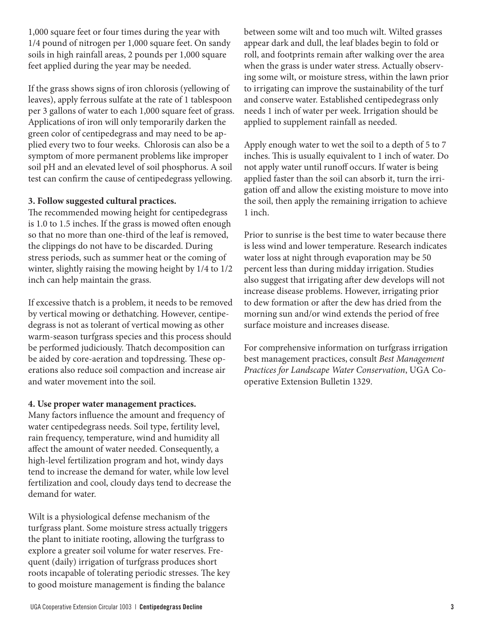1,000 square feet or four times during the year with 1/4 pound of nitrogen per 1,000 square feet. On sandy soils in high rainfall areas, 2 pounds per 1,000 square feet applied during the year may be needed.

If the grass shows signs of iron chlorosis (yellowing of leaves), apply ferrous sulfate at the rate of 1 tablespoon per 3 gallons of water to each 1,000 square feet of grass. Applications of iron will only temporarily darken the green color of centipedegrass and may need to be applied every two to four weeks. Chlorosis can also be a symptom of more permanent problems like improper soil pH and an elevated level of soil phosphorus. A soil test can confirm the cause of centipedegrass yellowing.

#### **3. Follow suggested cultural practices.**

The recommended mowing height for centipedegrass is 1.0 to 1.5 inches. If the grass is mowed often enough so that no more than one-third of the leaf is removed, the clippings do not have to be discarded. During stress periods, such as summer heat or the coming of winter, slightly raising the mowing height by 1/4 to 1/2 inch can help maintain the grass.

If excessive thatch is a problem, it needs to be removed by vertical mowing or dethatching. However, centipedegrass is not as tolerant of vertical mowing as other warm-season turfgrass species and this process should be performed judiciously. Thatch decomposition can be aided by core-aeration and topdressing. These operations also reduce soil compaction and increase air and water movement into the soil.

#### **4. Use proper water management practices.**

Many factors influence the amount and frequency of water centipedegrass needs. Soil type, fertility level, rain frequency, temperature, wind and humidity all affect the amount of water needed. Consequently, a high-level fertilization program and hot, windy days tend to increase the demand for water, while low level fertilization and cool, cloudy days tend to decrease the demand for water.

Wilt is a physiological defense mechanism of the turfgrass plant. Some moisture stress actually triggers the plant to initiate rooting, allowing the turfgrass to explore a greater soil volume for water reserves. Frequent (daily) irrigation of turfgrass produces short roots incapable of tolerating periodic stresses. The key to good moisture management is finding the balance

between some wilt and too much wilt. Wilted grasses appear dark and dull, the leaf blades begin to fold or roll, and footprints remain after walking over the area when the grass is under water stress. Actually observing some wilt, or moisture stress, within the lawn prior to irrigating can improve the sustainability of the turf and conserve water. Established centipedegrass only needs 1 inch of water per week. Irrigation should be applied to supplement rainfall as needed.

Apply enough water to wet the soil to a depth of 5 to 7 inches. This is usually equivalent to 1 inch of water. Do not apply water until runoff occurs. If water is being applied faster than the soil can absorb it, turn the irrigation off and allow the existing moisture to move into the soil, then apply the remaining irrigation to achieve 1 inch.

Prior to sunrise is the best time to water because there is less wind and lower temperature. Research indicates water loss at night through evaporation may be 50 percent less than during midday irrigation. Studies also suggest that irrigating after dew develops will not increase disease problems. However, irrigating prior to dew formation or after the dew has dried from the morning sun and/or wind extends the period of free surface moisture and increases disease.

For comprehensive information on turfgrass irrigation best management practices, consult *Best Management Practices for Landscape Water Conservation*, UGA Cooperative Extension Bulletin 1329.